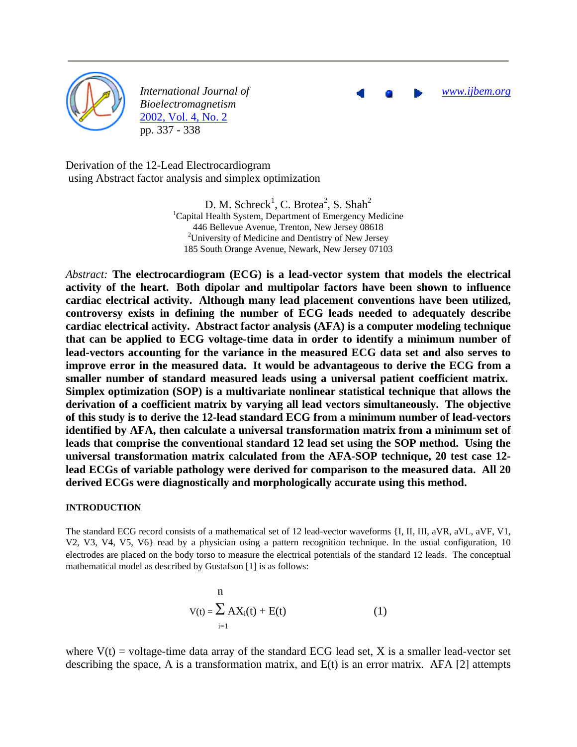

*International Journal of Bioelectromagnetism* 2002, Vol. 4, No. 2 pp. 337 - 338

*www.ijbem.org*

Derivation of the 12-Lead Electrocardiogram using Abstract factor analysis and simplex optimization

> D. M. Schreck<sup>1</sup>, C. Brotea<sup>2</sup>, S. Shah<sup>2</sup> <sup>1</sup>Capital Health System, Department of Emergency Medicine 446 Bellevue Avenue, Trenton, New Jersey 08618 <sup>2</sup>University of Medicine and Dentistry of New Jersey 185 South Orange Avenue, Newark, New Jersey 07103

*Abstract:* **The electrocardiogram (ECG) is a lead-vector system that models the electrical activity of the heart. Both dipolar and multipolar factors have been shown to influence cardiac electrical activity. Although many lead placement conventions have been utilized, controversy exists in defining the number of ECG leads needed to adequately describe cardiac electrical activity. Abstract factor analysis (AFA) is a computer modeling technique that can be applied to ECG voltage-time data in order to identify a minimum number of lead-vectors accounting for the variance in the measured ECG data set and also serves to improve error in the measured data. It would be advantageous to derive the ECG from a smaller number of standard measured leads using a universal patient coefficient matrix. Simplex optimization (SOP) is a multivariate nonlinear statistical technique that allows the derivation of a coefficient matrix by varying all lead vectors simultaneously. The objective of this study is to derive the 12-lead standard ECG from a minimum number of lead-vectors identified by AFA, then calculate a universal transformation matrix from a minimum set of leads that comprise the conventional standard 12 lead set using the SOP method. Using the universal transformation matrix calculated from the AFA-SOP technique, 20 test case 12 lead ECGs of variable pathology were derived for comparison to the measured data. All 20 derived ECGs were diagnostically and morphologically accurate using this method.** 

#### **INTRODUCTION**

The standard ECG record consists of a mathematical set of 12 lead-vector waveforms {I, II, III, aVR, aVL, aVF, V1, V2, V3, V4, V5, V6} read by a physician using a pattern recognition technique. In the usual configuration, 10 electrodes are placed on the body torso to measure the electrical potentials of the standard 12 leads. The conceptual mathematical model as described by Gustafson [1] is as follows:

$$
v(t) = \sum_{i=1}^{n} AX_i(t) + E(t)
$$
\n(1)

where  $V(t)$  = voltage-time data array of the standard ECG lead set, X is a smaller lead-vector set describing the space, A is a transformation matrix, and  $E(t)$  is an error matrix. AFA [2] attempts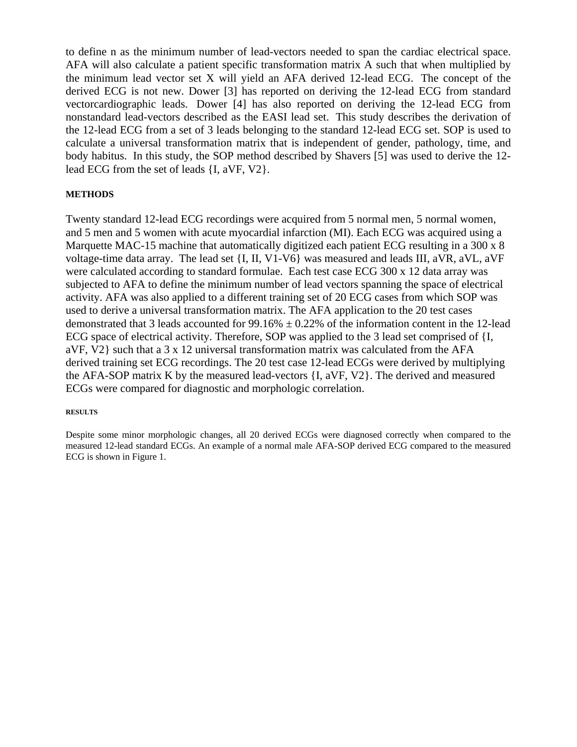to define n as the minimum number of lead-vectors needed to span the cardiac electrical space. AFA will also calculate a patient specific transformation matrix A such that when multiplied by the minimum lead vector set X will yield an AFA derived 12-lead ECG. The concept of the derived ECG is not new. Dower [3] has reported on deriving the 12-lead ECG from standard vectorcardiographic leads. Dower [4] has also reported on deriving the 12-lead ECG from nonstandard lead-vectors described as the EASI lead set. This study describes the derivation of the 12-lead ECG from a set of 3 leads belonging to the standard 12-lead ECG set. SOP is used to calculate a universal transformation matrix that is independent of gender, pathology, time, and body habitus. In this study, the SOP method described by Shavers [5] was used to derive the 12 lead ECG from the set of leads {I, aVF, V2}.

### **METHODS**

Twenty standard 12-lead ECG recordings were acquired from 5 normal men, 5 normal women, and 5 men and 5 women with acute myocardial infarction (MI). Each ECG was acquired using a Marquette MAC-15 machine that automatically digitized each patient ECG resulting in a 300 x 8 voltage-time data array. The lead set {I, II, V1-V6} was measured and leads III, aVR, aVL, aVF were calculated according to standard formulae. Each test case ECG 300 x 12 data array was subjected to AFA to define the minimum number of lead vectors spanning the space of electrical activity. AFA was also applied to a different training set of 20 ECG cases from which SOP was used to derive a universal transformation matrix. The AFA application to the 20 test cases demonstrated that 3 leads accounted for  $99.16\% \pm 0.22\%$  of the information content in the 12-lead ECG space of electrical activity. Therefore, SOP was applied to the 3 lead set comprised of {I, aVF, V2} such that a 3 x 12 universal transformation matrix was calculated from the AFA derived training set ECG recordings. The 20 test case 12-lead ECGs were derived by multiplying the AFA-SOP matrix K by the measured lead-vectors {I, aVF, V2}. The derived and measured ECGs were compared for diagnostic and morphologic correlation.

#### **RESULTS**

Despite some minor morphologic changes, all 20 derived ECGs were diagnosed correctly when compared to the measured 12-lead standard ECGs. An example of a normal male AFA-SOP derived ECG compared to the measured ECG is shown in Figure 1.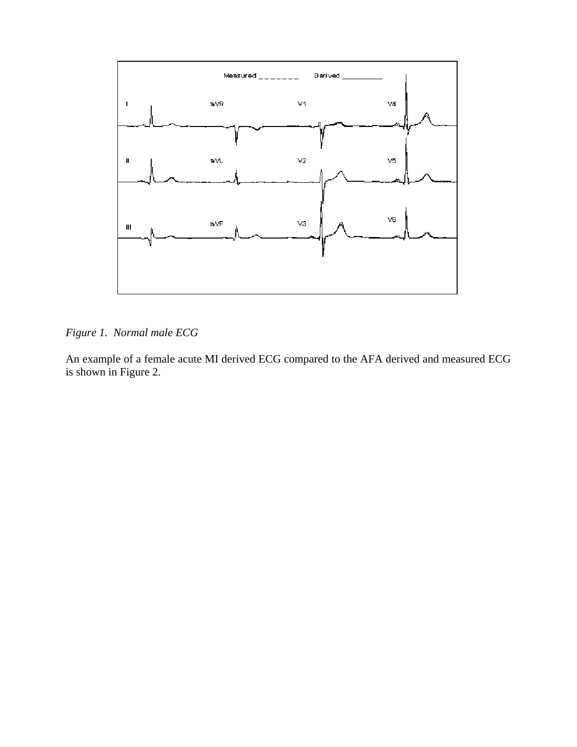

*Figure 1. Normal male ECG*

An example of a female acute MI derived ECG compared to the AFA derived and measured ECG is shown in Figure 2.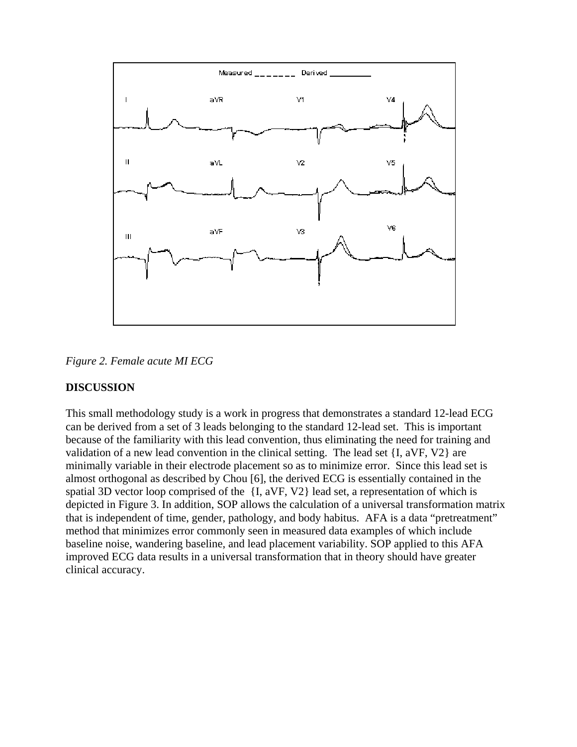

*Figure 2. Female acute MI ECG*

## **DISCUSSION**

This small methodology study is a work in progress that demonstrates a standard 12-lead ECG can be derived from a set of 3 leads belonging to the standard 12-lead set. This is important because of the familiarity with this lead convention, thus eliminating the need for training and validation of a new lead convention in the clinical setting. The lead set {I, aVF, V2} are minimally variable in their electrode placement so as to minimize error. Since this lead set is almost orthogonal as described by Chou [6], the derived ECG is essentially contained in the spatial 3D vector loop comprised of the {I, aVF, V2} lead set, a representation of which is depicted in Figure 3. In addition, SOP allows the calculation of a universal transformation matrix that is independent of time, gender, pathology, and body habitus. AFA is a data "pretreatment" method that minimizes error commonly seen in measured data examples of which include baseline noise, wandering baseline, and lead placement variability. SOP applied to this AFA improved ECG data results in a universal transformation that in theory should have greater clinical accuracy.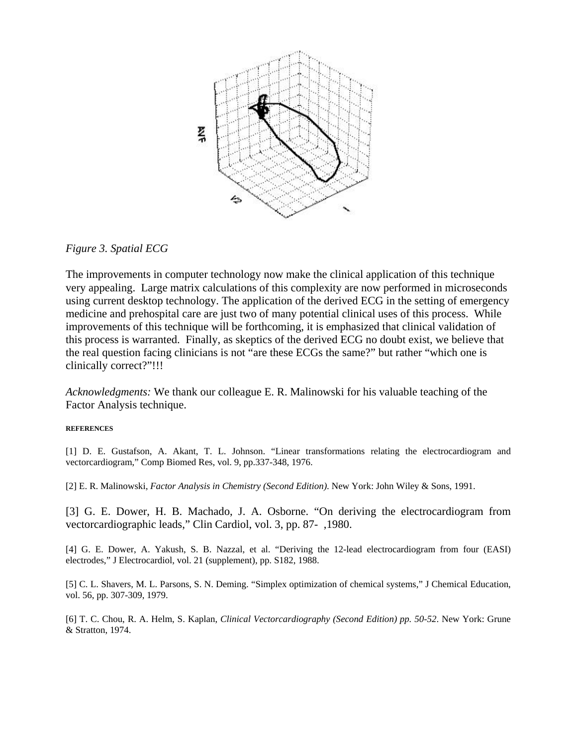

# *Figure 3. Spatial ECG*

The improvements in computer technology now make the clinical application of this technique very appealing. Large matrix calculations of this complexity are now performed in microseconds using current desktop technology. The application of the derived ECG in the setting of emergency medicine and prehospital care are just two of many potential clinical uses of this process. While improvements of this technique will be forthcoming, it is emphasized that clinical validation of this process is warranted. Finally, as skeptics of the derived ECG no doubt exist, we believe that the real question facing clinicians is not "are these ECGs the same?" but rather "which one is clinically correct?"!!!

*Acknowledgments:* We thank our colleague E. R. Malinowski for his valuable teaching of the Factor Analysis technique.

### **REFERENCES**

[1] D. E. Gustafson, A. Akant, T. L. Johnson. "Linear transformations relating the electrocardiogram and vectorcardiogram," Comp Biomed Res, vol. 9, pp.337-348, 1976.

[2] E. R. Malinowski, *Factor Analysis in Chemistry (Second Edition)*. New York: John Wiley & Sons, 1991.

[3] G. E. Dower, H. B. Machado, J. A. Osborne. "On deriving the electrocardiogram from vectorcardiographic leads," Clin Cardiol, vol. 3, pp. 87- ,1980.

[4] G. E. Dower, A. Yakush, S. B. Nazzal, et al. "Deriving the 12-lead electrocardiogram from four (EASI) electrodes," J Electrocardiol, vol. 21 (supplement), pp. S182, 1988.

[5] C. L. Shavers, M. L. Parsons, S. N. Deming. "Simplex optimization of chemical systems," J Chemical Education, vol. 56, pp. 307-309, 1979.

[6] T. C. Chou, R. A. Helm, S. Kaplan, *Clinical Vectorcardiography (Second Edition) pp. 50-52*. New York: Grune & Stratton, 1974.